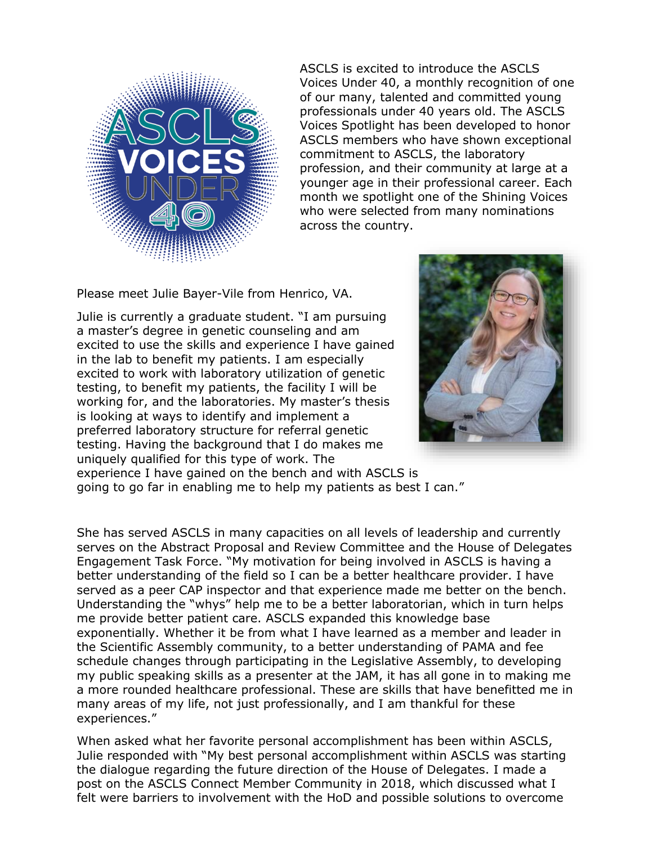

ASCLS is excited to introduce the ASCLS Voices Under 40, a monthly recognition of one of our many, talented and committed young professionals under 40 years old. The ASCLS Voices Spotlight has been developed to honor ASCLS members who have shown exceptional commitment to ASCLS, the laboratory profession, and their community at large at a younger age in their professional career. Each month we spotlight one of the Shining Voices who were selected from many nominations across the country.

Please meet Julie Bayer-Vile from Henrico, VA.

Julie is currently a graduate student. "I am pursuing a master's degree in genetic counseling and am excited to use the skills and experience I have gained in the lab to benefit my patients. I am especially excited to work with laboratory utilization of genetic testing, to benefit my patients, the facility I will be working for, and the laboratories. My master's thesis is looking at ways to identify and implement a preferred laboratory structure for referral genetic testing. Having the background that I do makes me uniquely qualified for this type of work. The experience I have gained on the bench and with ASCLS is



going to go far in enabling me to help my patients as best I can."

She has served ASCLS in many capacities on all levels of leadership and currently serves on the Abstract Proposal and Review Committee and the House of Delegates Engagement Task Force. "My motivation for being involved in ASCLS is having a better understanding of the field so I can be a better healthcare provider. I have served as a peer CAP inspector and that experience made me better on the bench. Understanding the "whys" help me to be a better laboratorian, which in turn helps me provide better patient care. ASCLS expanded this knowledge base exponentially. Whether it be from what I have learned as a member and leader in the Scientific Assembly community, to a better understanding of PAMA and fee schedule changes through participating in the Legislative Assembly, to developing my public speaking skills as a presenter at the JAM, it has all gone in to making me a more rounded healthcare professional. These are skills that have benefitted me in many areas of my life, not just professionally, and I am thankful for these experiences."

When asked what her favorite personal accomplishment has been within ASCLS, Julie responded with "My best personal accomplishment within ASCLS was starting the dialogue regarding the future direction of the House of Delegates. I made a post on the ASCLS Connect Member Community in 2018, which discussed what I felt were barriers to involvement with the HoD and possible solutions to overcome